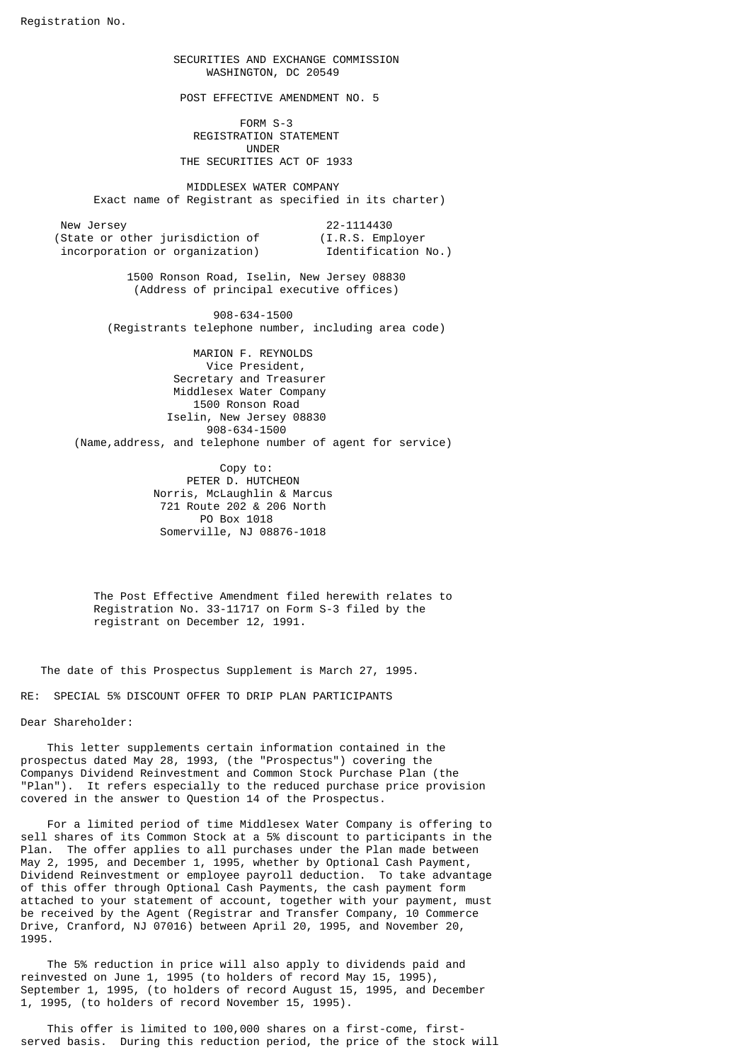SECURITIES AND EXCHANGE COMMISSION WASHINGTON, DC 20549

POST EFFECTIVE AMENDMENT NO. 5

 FORM S-3 REGISTRATION STATEMENT UNDER THE SECURITIES ACT OF 1933

> MIDDLESEX WATER COMPANY Exact name of Registrant as specified in its charter)

New Jersey 22-1114430<br>State or other jurisdiction of (I.R.S. Employer (State or other jurisdiction of  $(1.R.S.$  Employer<br>incorporation or organization) Identification No.) incorporation or organization)

> 1500 Ronson Road, Iselin, New Jersey 08830 (Address of principal executive offices)

 908-634-1500 (Registrants telephone number, including area code)

 MARION F. REYNOLDS Vice President, Secretary and Treasurer Middlesex Water Company 1500 Ronson Road Iselin, New Jersey 08830 908-634-1500 (Name,address, and telephone number of agent for service)

> Copy to: PETER D. HUTCHEON Norris, McLaughlin & Marcus 721 Route 202 & 206 North PO Box 1018 Somerville, NJ 08876-1018

 The Post Effective Amendment filed herewith relates to Registration No. 33-11717 on Form S-3 filed by the registrant on December 12, 1991.

The date of this Prospectus Supplement is March 27, 1995.

RE: SPECIAL 5% DISCOUNT OFFER TO DRIP PLAN PARTICIPANTS

Dear Shareholder:

 This letter supplements certain information contained in the prospectus dated May 28, 1993, (the "Prospectus") covering the Companys Dividend Reinvestment and Common Stock Purchase Plan (the "Plan"). It refers especially to the reduced purchase price provision covered in the answer to Question 14 of the Prospectus.

 For a limited period of time Middlesex Water Company is offering to sell shares of its Common Stock at a 5% discount to participants in the Plan. The offer applies to all purchases under the Plan made between May 2, 1995, and December 1, 1995, whether by Optional Cash Payment, Dividend Reinvestment or employee payroll deduction. To take advantage of this offer through Optional Cash Payments, the cash payment form attached to your statement of account, together with your payment, must be received by the Agent (Registrar and Transfer Company, 10 Commerce Drive, Cranford, NJ 07016) between April 20, 1995, and November 20, 1995.

 The 5% reduction in price will also apply to dividends paid and reinvested on June 1, 1995 (to holders of record May 15, 1995), September 1, 1995, (to holders of record August 15, 1995, and December 1, 1995, (to holders of record November 15, 1995).

 This offer is limited to 100,000 shares on a first-come, firstserved basis. During this reduction period, the price of the stock will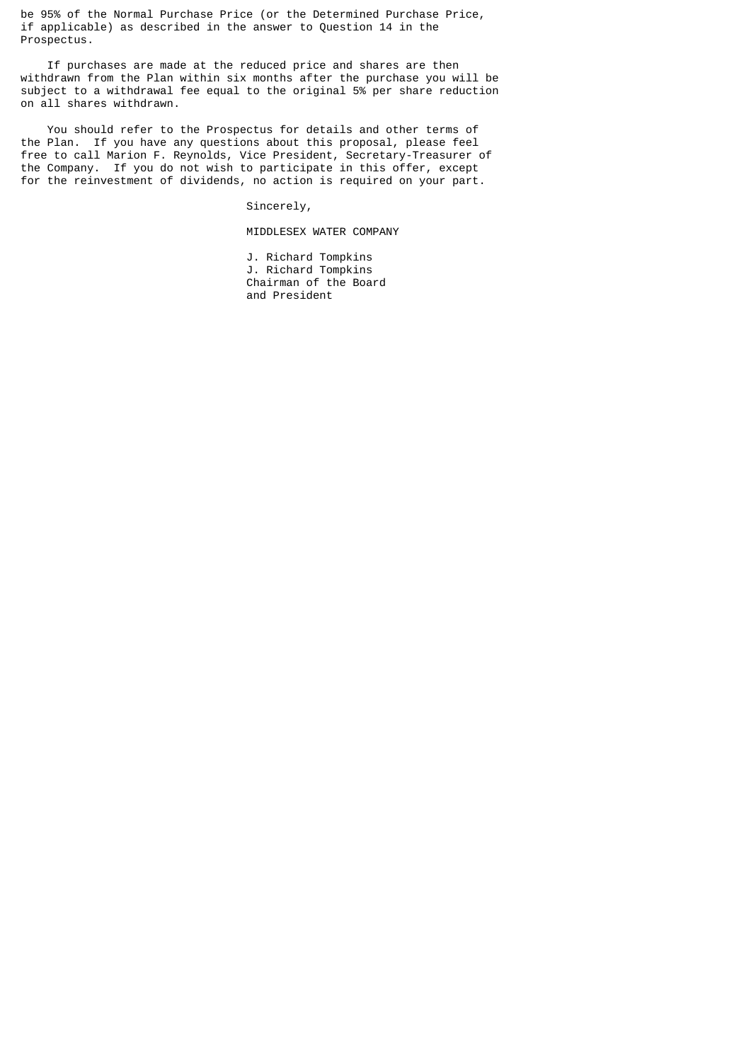be 95% of the Normal Purchase Price (or the Determined Purchase Price, if applicable) as described in the answer to Question 14 in the Prospectus.

 If purchases are made at the reduced price and shares are then withdrawn from the Plan within six months after the purchase you will be subject to a withdrawal fee equal to the original 5% per share reduction on all shares withdrawn.

 You should refer to the Prospectus for details and other terms of the Plan. If you have any questions about this proposal, please feel free to call Marion F. Reynolds, Vice President, Secretary-Treasurer of the Company. If you do not wish to participate in this offer, except for the reinvestment of dividends, no action is required on your part.

Sincerely,

MIDDLESEX WATER COMPANY

 J. Richard Tompkins J. Richard Tompkins Chairman of the Board and President